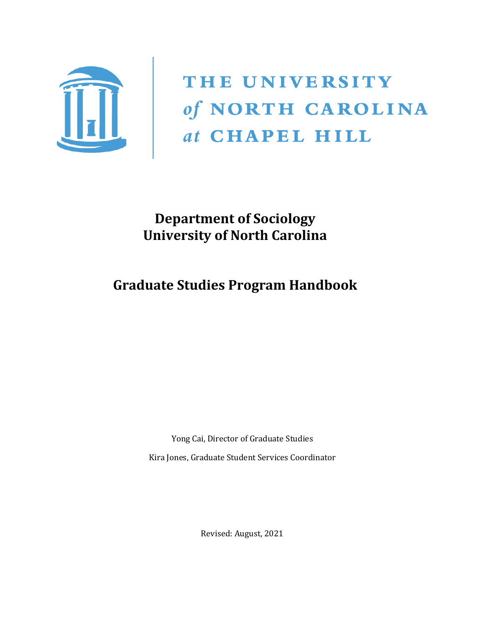

THE UNIVERSITY of NORTH CAROLINA<br> *at* CHAPEL HILL

**Department of Sociology University of North Carolina**

# **Graduate Studies Program Handbook**

Yong Cai, Director of Graduate Studies Kira Jones, Graduate Student Services Coordinator

Revised: August, 2021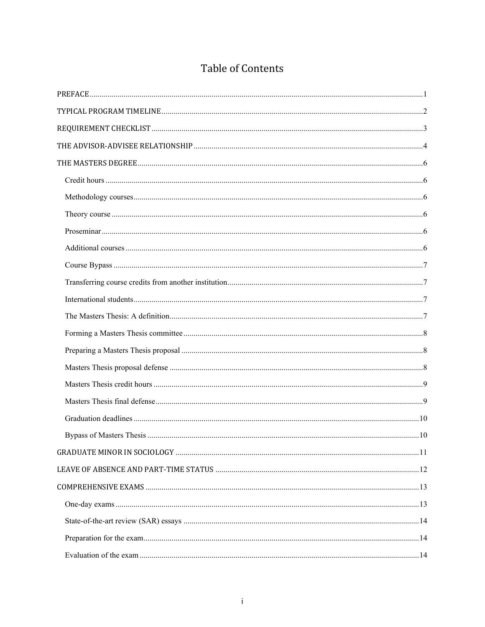| <b>Table of Contents</b> |
|--------------------------|
|--------------------------|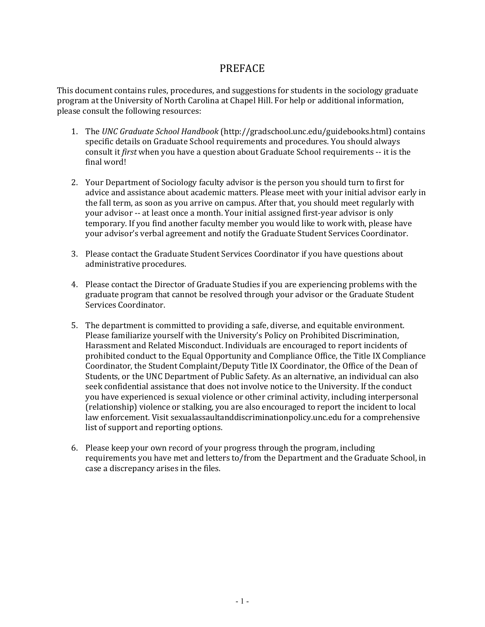## PREFACE

<span id="page-3-0"></span>This document contains rules, procedures, and suggestions for students in the sociology graduate program at the University of North Carolina at Chapel Hill. For help or additional information, please consult the following resources:

- 1. The *UNC Graduate School Handbook* (http://gradschool.unc.edu/guidebooks.html) contains specific details on Graduate School requirements and procedures. You should always consult it *first* when you have a question about Graduate School requirements -- it is the final word!
- 2. Your Department of Sociology faculty advisor is the person you should turn to first for advice and assistance about academic matters. Please meet with your initial advisor early in the fall term, as soon as you arrive on campus. After that, you should meet regularly with your advisor -- at least once a month. Your initial assigned first-year advisor is only temporary. If you find another faculty member you would like to work with, please have your advisor's verbal agreement and notify the Graduate Student Services Coordinator.
- 3. Please contact the Graduate Student Services Coordinator if you have questions about administrative procedures.
- 4. Please contact the Director of Graduate Studies if you are experiencing problems with the graduate program that cannot be resolved through your advisor or the Graduate Student Services Coordinator.
- 5. The department is committed to providing a safe, diverse, and equitable environment. Please familiarize yourself with the University's Policy on Prohibited Discrimination, Harassment and Related Misconduct. Individuals are encouraged to report incidents of prohibited conduct to the Equal Opportunity and Compliance Office, the Title IX Compliance Coordinator, the Student Complaint/Deputy Title IX Coordinator, the Office of the Dean of Students, or the UNC Department of Public Safety. As an alternative, an individual can also seek confidential assistance that does not involve notice to the University. If the conduct you have experienced is sexual violence or other criminal activity, including interpersonal (relationship) violence or stalking, you are also encouraged to report the incident to local law enforcement. Visit sexualassaultanddiscriminationpolicy.unc.edu for a comprehensive list of support and reporting options.
- 6. Please keep your own record of your progress through the program, including requirements you have met and letters to/from the Department and the Graduate School, in case a discrepancy arises in the files.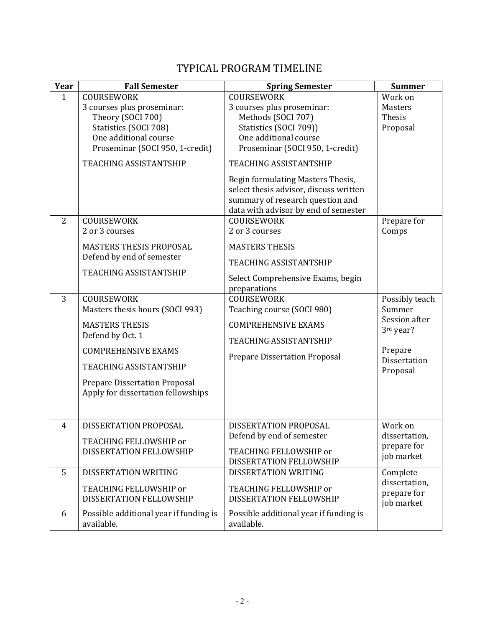# TYPICAL PROGRAM TIMELINE

<span id="page-4-0"></span>

| Year                           | <b>Fall Semester</b>                                                                                                                                                                                                                    | <b>Spring Semester</b>                                                                                                                                                                                                                                                                                                                                                                  | <b>Summer</b>                                                                                        |
|--------------------------------|-----------------------------------------------------------------------------------------------------------------------------------------------------------------------------------------------------------------------------------------|-----------------------------------------------------------------------------------------------------------------------------------------------------------------------------------------------------------------------------------------------------------------------------------------------------------------------------------------------------------------------------------------|------------------------------------------------------------------------------------------------------|
| $\mathbf{1}$<br>$\overline{2}$ | COURSEWORK<br>3 courses plus proseminar:<br>Theory (SOCI 700)<br>Statistics (SOCI 708)<br>One additional course<br>Proseminar (SOCI 950, 1-credit)<br><b>TEACHING ASSISTANTSHIP</b><br><b>COURSEWORK</b><br>2 or 3 courses              | COURSEWORK<br>3 courses plus proseminar:<br>Methods (SOCI 707)<br>Statistics (SOCI 709))<br>One additional course<br>Proseminar (SOCI 950, 1-credit)<br><b>TEACHING ASSISTANTSHIP</b><br>Begin formulating Masters Thesis,<br>select thesis advisor, discuss written<br>summary of research question and<br>data with advisor by end of semester<br><b>COURSEWORK</b><br>2 or 3 courses | Work on<br><b>Masters</b><br>Thesis<br>Proposal<br>Prepare for<br>Comps                              |
|                                | <b>MASTERS THESIS PROPOSAL</b><br>Defend by end of semester<br><b>TEACHING ASSISTANTSHIP</b>                                                                                                                                            | <b>MASTERS THESIS</b><br><b>TEACHING ASSISTANTSHIP</b><br>Select Comprehensive Exams, begin<br>preparations                                                                                                                                                                                                                                                                             |                                                                                                      |
| 3                              | <b>COURSEWORK</b><br>Masters thesis hours (SOCI 993)<br><b>MASTERS THESIS</b><br>Defend by Oct. 1<br><b>COMPREHENSIVE EXAMS</b><br><b>TEACHING ASSISTANTSHIP</b><br>Prepare Dissertation Proposal<br>Apply for dissertation fellowships | COURSEWORK<br>Teaching course (SOCI 980)<br><b>COMPREHENSIVE EXAMS</b><br><b>TEACHING ASSISTANTSHIP</b><br><b>Prepare Dissertation Proposal</b>                                                                                                                                                                                                                                         | Possibly teach<br>Summer<br>Session after<br>3rd year?<br>Prepare<br><b>Dissertation</b><br>Proposal |
| 4                              | DISSERTATION PROPOSAL<br>TEACHING FELLOWSHIP or<br>DISSERTATION FELLOWSHIP                                                                                                                                                              | DISSERTATION PROPOSAL<br>Defend by end of semester<br>TEACHING FELLOWSHIP or<br>DISSERTATION FELLOWSHIP                                                                                                                                                                                                                                                                                 | Work on<br>dissertation,<br>prepare for<br>job market                                                |
| 5                              | DISSERTATION WRITING<br>TEACHING FELLOWSHIP or<br>DISSERTATION FELLOWSHIP                                                                                                                                                               | DISSERTATION WRITING<br>TEACHING FELLOWSHIP or<br>DISSERTATION FELLOWSHIP                                                                                                                                                                                                                                                                                                               | Complete<br>dissertation,<br>prepare for<br>job market                                               |
| 6                              | Possible additional year if funding is<br>available.                                                                                                                                                                                    | Possible additional year if funding is<br>available.                                                                                                                                                                                                                                                                                                                                    |                                                                                                      |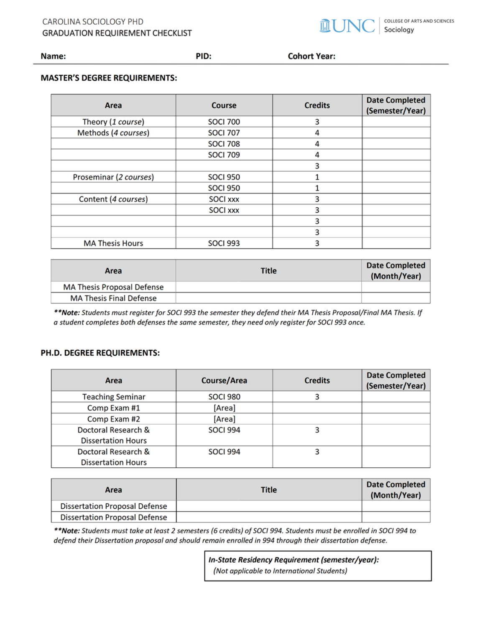

<span id="page-5-0"></span>Name:

**Cohort Year:** 

### **MASTER'S DEGREE REQUIREMENTS:**

| Area                   | Course          | <b>Credits</b> | <b>Date Completed</b><br>(Semester/Year) |
|------------------------|-----------------|----------------|------------------------------------------|
| Theory (1 course)      | <b>SOCI 700</b> | 3              |                                          |
| Methods (4 courses)    | <b>SOCI 707</b> | 4              |                                          |
|                        | <b>SOCI 708</b> | 4              |                                          |
|                        | <b>SOCI 709</b> | 4              |                                          |
|                        |                 | 3              |                                          |
| Proseminar (2 courses) | <b>SOCI 950</b> |                |                                          |
|                        | <b>SOCI 950</b> |                |                                          |
| Content (4 courses)    | <b>SOCI XXX</b> | 3              |                                          |
|                        | <b>SOCI xxx</b> | 3              |                                          |
|                        |                 | 3              |                                          |
|                        |                 | 3              |                                          |
| <b>MA Thesis Hours</b> | <b>SOCI 993</b> |                |                                          |

REQUIREMENT CHECKLIST

PID:

| Area                           | <b>Title</b> | <b>Date Completed</b><br>(Month/Year) |
|--------------------------------|--------------|---------------------------------------|
| MA Thesis Proposal Defense     |              |                                       |
| <b>MA Thesis Final Defense</b> |              |                                       |

\*\*Note: Students must register for SOCI 993 the semester they defend their MA Thesis Proposal/Final MA Thesis. If a student completes both defenses the same semester, they need only register for SOCI 993 once.

#### PH.D. DEGREE REQUIREMENTS:

| Area                      | Course/Area     | <b>Credits</b> | Date Completed<br>(Semester/Year) |
|---------------------------|-----------------|----------------|-----------------------------------|
| <b>Teaching Seminar</b>   | <b>SOCI 980</b> |                |                                   |
| Comp Exam #1              | [Area]          |                |                                   |
| Comp Exam #2              | [Area]          |                |                                   |
| Doctoral Research &       | <b>SOCI 994</b> |                |                                   |
| <b>Dissertation Hours</b> |                 |                |                                   |
| Doctoral Research &       | <b>SOCI 994</b> |                |                                   |
| <b>Dissertation Hours</b> |                 |                |                                   |

| Area                                 | Title | <b>Date Completed</b><br>(Month/Year) |
|--------------------------------------|-------|---------------------------------------|
| <b>Dissertation Proposal Defense</b> |       |                                       |
| <b>Dissertation Proposal Defense</b> |       |                                       |

\*\*Note: Students must take at least 2 semesters (6 credits) of SOCI 994. Students must be enrolled in SOCI 994 to defend their Dissertation proposal and should remain enrolled in 994 through their dissertation defense.

> In-State Residency Requirement (semester/year): (Not applicable to International Students)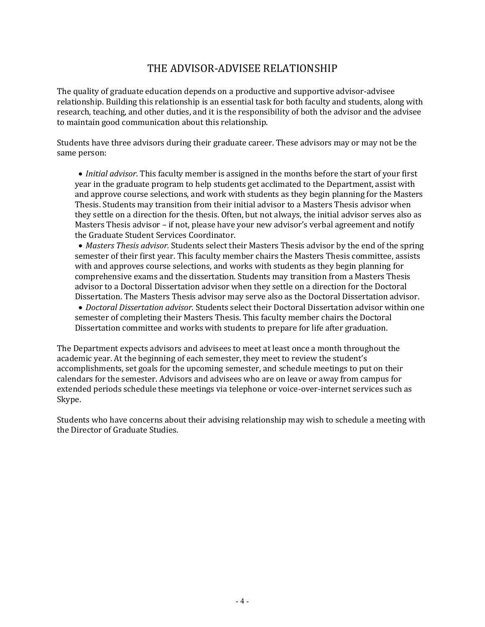## THE ADVISOR-ADVISEE RELATIONSHIP

<span id="page-6-0"></span>The quality of graduate education depends on a productive and supportive advisor-advisee relationship. Building this relationship is an essential task for both faculty and students, along with research, teaching, and other duties, and it is the responsibility of both the advisor and the advisee to maintain good communication about this relationship.

Students have three advisors during their graduate career. These advisors may or may not be the same person:

• *Initial advisor.* This faculty member is assigned in the months before the start of your first year in the graduate program to help students get acclimated to the Department, assist with and approve course selections, and work with students as they begin planning for the Masters Thesis. Students may transition from their initial advisor to a Masters Thesis advisor when they settle on a direction for the thesis. Often, but not always, the initial advisor serves also as Masters Thesis advisor – if not, please have your new advisor's verbal agreement and notify the Graduate Student Services Coordinator.

• *Masters Thesis advisor.* Students select their Masters Thesis advisor by the end of the spring semester of their first year. This faculty member chairs the Masters Thesis committee, assists with and approves course selections, and works with students as they begin planning for comprehensive exams and the dissertation. Students may transition from a Masters Thesis advisor to a Doctoral Dissertation advisor when they settle on a direction for the Doctoral Dissertation. The Masters Thesis advisor may serve also as the Doctoral Dissertation advisor.

• *Doctoral Dissertation advisor.* Students select their Doctoral Dissertation advisor within one semester of completing their Masters Thesis. This faculty member chairs the Doctoral Dissertation committee and works with students to prepare for life after graduation.

The Department expects advisors and advisees to meet at least once a month throughout the academic year. At the beginning of each semester, they meet to review the student's accomplishments, set goals for the upcoming semester, and schedule meetings to put on their calendars for the semester. Advisors and advisees who are on leave or away from campus for extended periods schedule these meetings via telephone or voice-over-internet services such as Skype.

Students who have concerns about their advising relationship may wish to schedule a meeting with the Director of Graduate Studies.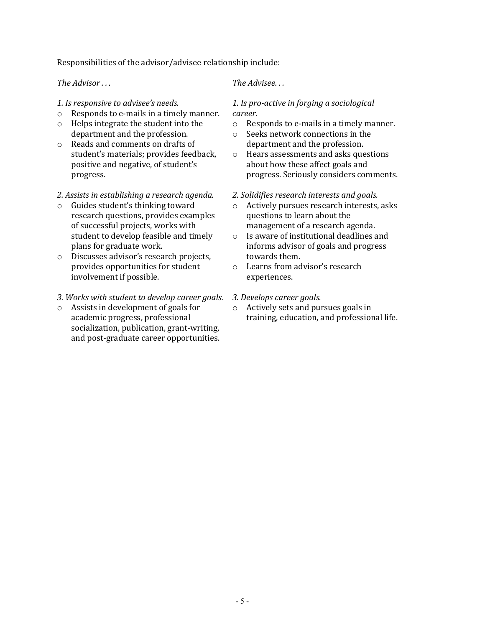Responsibilities of the advisor/advisee relationship include:

*The Advisor . . .*

- *1. Is responsive to advisee's needs.*
- o Responds to e-mails in a timely manner.
- o Helps integrate the student into the department and the profession.
- o Reads and comments on drafts of student's materials; provides feedback, positive and negative, of student's progress.
- *2. Assists in establishing a research agenda.*
- o Guides student's thinking toward research questions, provides examples of successful projects, works with student to develop feasible and timely plans for graduate work.
- o Discusses advisor's research projects, provides opportunities for student involvement if possible.

#### *3. Works with student to develop career goals.*

o Assists in development of goals for academic progress, professional socialization, publication, grant-writing, and post-graduate career opportunities.

#### *The Advisee. . .*

#### *1. Is pro-active in forging a sociological career.*

- o Responds to e-mails in a timely manner.
- o Seeks network connections in the department and the profession.
- o Hears assessments and asks questions about how these affect goals and progress. Seriously considers comments.

#### *2. Solidifies research interests and goals.*

- o Actively pursues research interests, asks questions to learn about the management of a research agenda.
- o Is aware of institutional deadlines and informs advisor of goals and progress towards them.
- o Learns from advisor's research experiences.
- *3. Develops career goals.*
- o Actively sets and pursues goals in training, education, and professional life.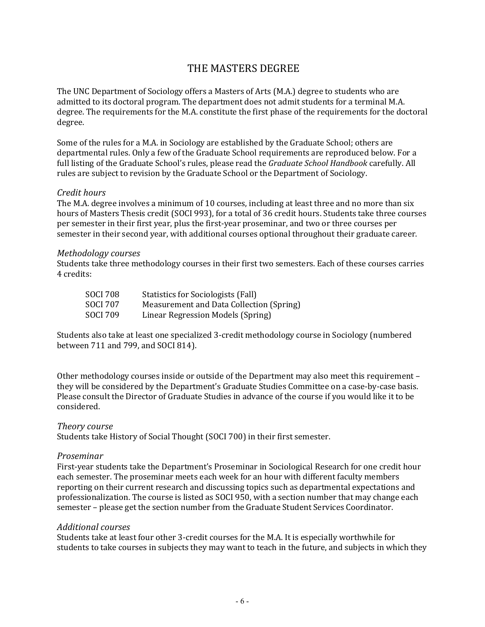# <span id="page-8-0"></span>THE MASTERS DEGREE

The UNC Department of Sociology offers a Masters of Arts (M.A.) degree to students who are admitted to its doctoral program. The department does not admit students for a terminal M.A. degree. The requirements for the M.A. constitute the first phase of the requirements for the doctoral degree.

Some of the rules for a M.A. in Sociology are established by the Graduate School; others are departmental rules. Only a few of the Graduate School requirements are reproduced below. For a full listing of the Graduate School's rules, please read the *Graduate School Handbook* carefully. All rules are subject to revision by the Graduate School or the Department of Sociology.

#### <span id="page-8-1"></span>*Credit hours*

The M.A. degree involves a minimum of 10 courses, including at least three and no more than six hours of Masters Thesis credit (SOCI 993), for a total of 36 credit hours. Students take three courses per semester in their first year, plus the first-year proseminar, and two or three courses per semester in their second year, with additional courses optional throughout their graduate career.

#### <span id="page-8-2"></span>*Methodology courses*

Students take three methodology courses in their first two semesters. Each of these courses carries 4 credits:

| SOCI 708 | Statistics for Sociologists (Fall)       |
|----------|------------------------------------------|
| SOCI 707 | Measurement and Data Collection (Spring) |
| SOCI 709 | Linear Regression Models (Spring)        |

Students also take at least one specialized 3-credit methodology course in Sociology (numbered between 711 and 799, and SOCI 814).

Other methodology courses inside or outside of the Department may also meet this requirement – they will be considered by the Department's Graduate Studies Committee on a case-by-case basis. Please consult the Director of Graduate Studies in advance of the course if you would like it to be considered.

#### <span id="page-8-3"></span>*Theory course*

Students take History of Social Thought (SOCI 700) in their first semester.

#### <span id="page-8-4"></span>*Proseminar*

First-year students take the Department's Proseminar in Sociological Research for one credit hour each semester. The proseminar meets each week for an hour with different faculty members reporting on their current research and discussing topics such as departmental expectations and professionalization. The course is listed as SOCI 950, with a section number that may change each semester – please get the section number from the Graduate Student Services Coordinator.

#### <span id="page-8-5"></span>*Additional courses*

Students take at least four other 3-credit courses for the M.A. It is especially worthwhile for students to take courses in subjects they may want to teach in the future, and subjects in which they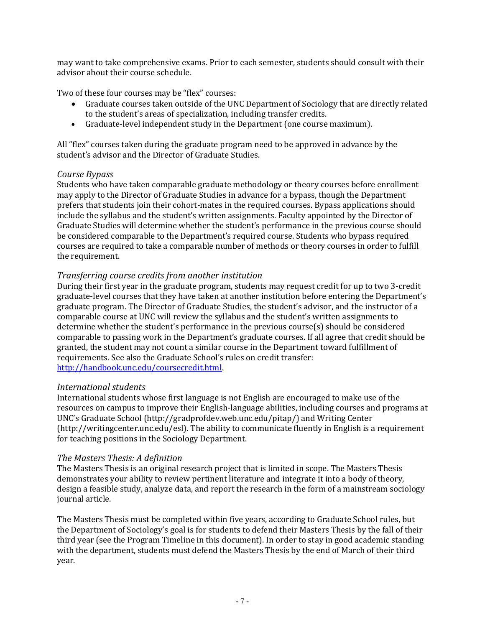may want to take comprehensive exams. Prior to each semester, students should consult with their advisor about their course schedule.

Two of these four courses may be "flex" courses:

- Graduate courses taken outside of the UNC Department of Sociology that are directly related to the student's areas of specialization, including transfer credits.
- Graduate-level independent study in the Department (one course maximum).

All "flex" courses taken during the graduate program need to be approved in advance by the student's advisor and the Director of Graduate Studies.

#### <span id="page-9-0"></span>*Course Bypass*

Students who have taken comparable graduate methodology or theory courses before enrollment may apply to the Director of Graduate Studies in advance for a bypass, though the Department prefers that students join their cohort-mates in the required courses. Bypass applications should include the syllabus and the student's written assignments. Faculty appointed by the Director of Graduate Studies will determine whether the student's performance in the previous course should be considered comparable to the Department's required course. Students who bypass required courses are required to take a comparable number of methods or theory courses in order to fulfill the requirement.

#### <span id="page-9-1"></span>*Transferring course credits from another institution*

During their first year in the graduate program, students may request credit for up to two 3-credit graduate-level courses that they have taken at another institution before entering the Department's graduate program. The Director of Graduate Studies, the student's advisor, and the instructor of a comparable course at UNC will review the syllabus and the student's written assignments to determine whether the student's performance in the previous course(s) should be considered comparable to passing work in the Department's graduate courses. If all agree that credit should be granted, the student may not count a similar course in the Department toward fulfillment of requirements. See also the Graduate School's rules on credit transfer: [http://handbook.unc.edu/coursecredit.html.](http://handbook.unc.edu/coursecredit.html)

#### <span id="page-9-2"></span>*International students*

International students whose first language is not English are encouraged to make use of the resources on campus to improve their English-language abilities, including courses and programs at UNC's Graduate School (http://gradprofdev.web.unc.edu/pitap/) and Writing Center (http://writingcenter.unc.edu/esl). The ability to communicate fluently in English is a requirement for teaching positions in the Sociology Department.

#### <span id="page-9-3"></span>*The Masters Thesis: A definition*

The Masters Thesis is an original research project that is limited in scope. The Masters Thesis demonstrates your ability to review pertinent literature and integrate it into a body of theory, design a feasible study, analyze data, and report the research in the form of a mainstream sociology journal article.

The Masters Thesis must be completed within five years, according to Graduate School rules, but the Department of Sociology's goal is for students to defend their Masters Thesis by the fall of their third year (see the Program Timeline in this document). In order to stay in good academic standing with the department, students must defend the Masters Thesis by the end of March of their third year.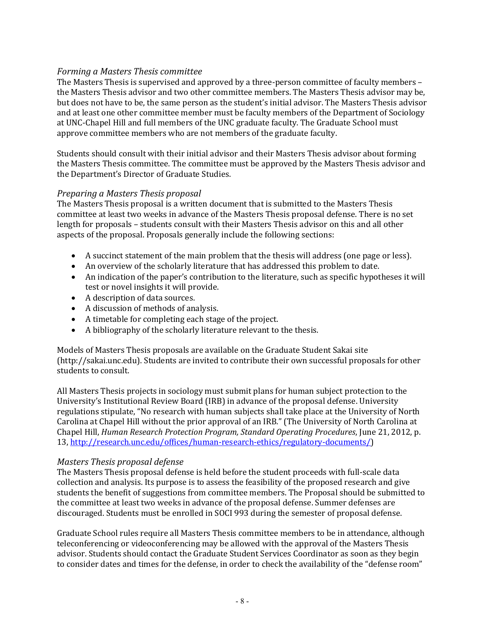#### <span id="page-10-0"></span>*Forming a Masters Thesis committee*

The Masters Thesis is supervised and approved by a three-person committee of faculty members – the Masters Thesis advisor and two other committee members. The Masters Thesis advisor may be, but does not have to be, the same person as the student's initial advisor. The Masters Thesis advisor and at least one other committee member must be faculty members of the Department of Sociology at UNC-Chapel Hill and full members of the UNC graduate faculty. The Graduate School must approve committee members who are not members of the graduate faculty.

Students should consult with their initial advisor and their Masters Thesis advisor about forming the Masters Thesis committee. The committee must be approved by the Masters Thesis advisor and the Department's Director of Graduate Studies.

### <span id="page-10-1"></span>*Preparing a Masters Thesis proposal*

The Masters Thesis proposal is a written document that is submitted to the Masters Thesis committee at least two weeks in advance of the Masters Thesis proposal defense. There is no set length for proposals – students consult with their Masters Thesis advisor on this and all other aspects of the proposal. Proposals generally include the following sections:

- A succinct statement of the main problem that the thesis will address (one page or less).
- An overview of the scholarly literature that has addressed this problem to date.
- An indication of the paper's contribution to the literature, such as specific hypotheses it will test or novel insights it will provide.
- A description of data sources.
- A discussion of methods of analysis.
- A timetable for completing each stage of the project.
- A bibliography of the scholarly literature relevant to the thesis.

Models of Masters Thesis proposals are available on the Graduate Student Sakai site (http://sakai.unc.edu). Students are invited to contribute their own successful proposals for other students to consult.

All Masters Thesis projects in sociology must submit plans for human subject protection to the University's Institutional Review Board (IRB) in advance of the proposal defense. University regulations stipulate, "No research with human subjects shall take place at the University of North Carolina at Chapel Hill without the prior approval of an IRB." (The University of North Carolina at Chapel Hill, *Human Research Protection Program, Standard Operating Procedures*, June 21, 2012, p. 13, [http://research.unc.edu/offices/human-research-ethics/regulatory-documents/\)](http://research.unc.edu/offices/human-research-ethics/regulatory-documents/)

#### <span id="page-10-2"></span>*Masters Thesis proposal defense*

The Masters Thesis proposal defense is held before the student proceeds with full-scale data collection and analysis. Its purpose is to assess the feasibility of the proposed research and give students the benefit of suggestions from committee members. The Proposal should be submitted to the committee at least two weeks in advance of the proposal defense. Summer defenses are discouraged. Students must be enrolled in SOCI 993 during the semester of proposal defense.

Graduate School rules require all Masters Thesis committee members to be in attendance, although teleconferencing or videoconferencing may be allowed with the approval of the Masters Thesis advisor. Students should contact the Graduate Student Services Coordinator as soon as they begin to consider dates and times for the defense, in order to check the availability of the "defense room"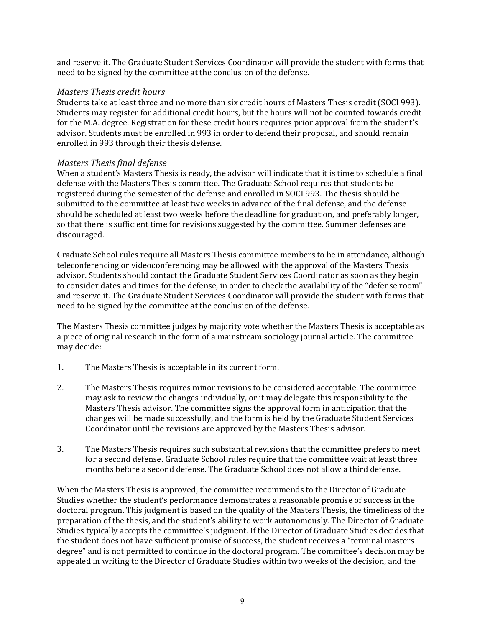and reserve it. The Graduate Student Services Coordinator will provide the student with forms that need to be signed by the committee at the conclusion of the defense.

#### <span id="page-11-0"></span>*Masters Thesis credit hours*

Students take at least three and no more than six credit hours of Masters Thesis credit (SOCI 993). Students may register for additional credit hours, but the hours will not be counted towards credit for the M.A. degree. Registration for these credit hours requires prior approval from the student's advisor. Students must be enrolled in 993 in order to defend their proposal, and should remain enrolled in 993 through their thesis defense.

#### <span id="page-11-1"></span>*Masters Thesis final defense*

When a student's Masters Thesis is ready, the advisor will indicate that it is time to schedule a final defense with the Masters Thesis committee. The Graduate School requires that students be registered during the semester of the defense and enrolled in SOCI 993. The thesis should be submitted to the committee at least two weeks in advance of the final defense, and the defense should be scheduled at least two weeks before the deadline for graduation, and preferably longer, so that there is sufficient time for revisions suggested by the committee. Summer defenses are discouraged.

Graduate School rules require all Masters Thesis committee members to be in attendance, although teleconferencing or videoconferencing may be allowed with the approval of the Masters Thesis advisor. Students should contact the Graduate Student Services Coordinator as soon as they begin to consider dates and times for the defense, in order to check the availability of the "defense room" and reserve it. The Graduate Student Services Coordinator will provide the student with forms that need to be signed by the committee at the conclusion of the defense.

The Masters Thesis committee judges by majority vote whether the Masters Thesis is acceptable as a piece of original research in the form of a mainstream sociology journal article. The committee may decide:

- 1. The Masters Thesis is acceptable in its current form.
- 2. The Masters Thesis requires minor revisions to be considered acceptable. The committee may ask to review the changes individually, or it may delegate this responsibility to the Masters Thesis advisor. The committee signs the approval form in anticipation that the changes will be made successfully, and the form is held by the Graduate Student Services Coordinator until the revisions are approved by the Masters Thesis advisor.
- 3. The Masters Thesis requires such substantial revisions that the committee prefers to meet for a second defense. Graduate School rules require that the committee wait at least three months before a second defense. The Graduate School does not allow a third defense.

When the Masters Thesis is approved, the committee recommends to the Director of Graduate Studies whether the student's performance demonstrates a reasonable promise of success in the doctoral program. This judgment is based on the quality of the Masters Thesis, the timeliness of the preparation of the thesis, and the student's ability to work autonomously. The Director of Graduate Studies typically accepts the committee's judgment. If the Director of Graduate Studies decides that the student does not have sufficient promise of success, the student receives a "terminal masters degree" and is not permitted to continue in the doctoral program. The committee's decision may be appealed in writing to the Director of Graduate Studies within two weeks of the decision, and the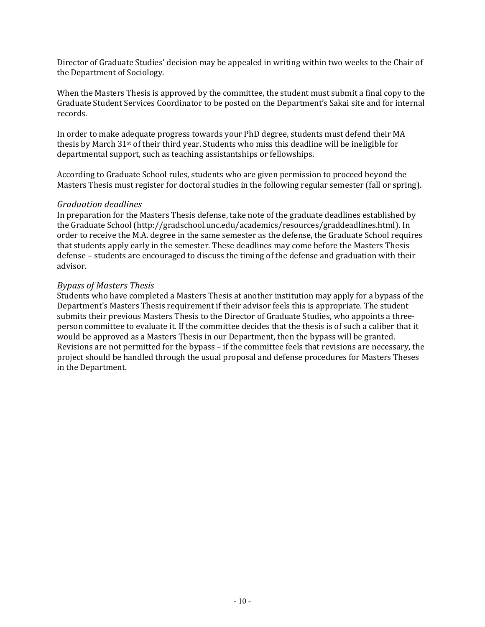Director of Graduate Studies' decision may be appealed in writing within two weeks to the Chair of the Department of Sociology.

When the Masters Thesis is approved by the committee, the student must submit a final copy to the Graduate Student Services Coordinator to be posted on the Department's Sakai site and for internal records.

In order to make adequate progress towards your PhD degree, students must defend their MA thesis by March 31st of their third year. Students who miss this deadline will be ineligible for departmental support, such as teaching assistantships or fellowships.

According to Graduate School rules, students who are given permission to proceed beyond the Masters Thesis must register for doctoral studies in the following regular semester (fall or spring).

#### <span id="page-12-0"></span>*Graduation deadlines*

In preparation for the Masters Thesis defense, take note of the graduate deadlines established by the Graduate School (http://gradschool.unc.edu/academics/resources/graddeadlines.html). In order to receive the M.A. degree in the same semester as the defense, the Graduate School requires that students apply early in the semester. These deadlines may come before the Masters Thesis defense – students are encouraged to discuss the timing of the defense and graduation with their advisor.

#### <span id="page-12-1"></span>*Bypass of Masters Thesis*

Students who have completed a Masters Thesis at another institution may apply for a bypass of the Department's Masters Thesis requirement if their advisor feels this is appropriate. The student submits their previous Masters Thesis to the Director of Graduate Studies, who appoints a threeperson committee to evaluate it. If the committee decides that the thesis is of such a caliber that it would be approved as a Masters Thesis in our Department, then the bypass will be granted. Revisions are not permitted for the bypass – if the committee feels that revisions are necessary, the project should be handled through the usual proposal and defense procedures for Masters Theses in the Department.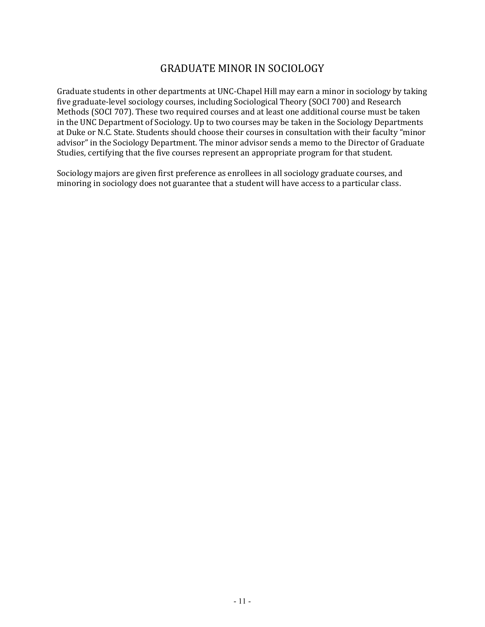# GRADUATE MINOR IN SOCIOLOGY

<span id="page-13-0"></span>Graduate students in other departments at UNC-Chapel Hill may earn a minor in sociology by taking five graduate-level sociology courses, including Sociological Theory (SOCI 700) and Research Methods (SOCI 707). These two required courses and at least one additional course must be taken in the UNC Department of Sociology. Up to two courses may be taken in the Sociology Departments at Duke or N.C. State. Students should choose their courses in consultation with their faculty "minor advisor" in the Sociology Department. The minor advisor sends a memo to the Director of Graduate Studies, certifying that the five courses represent an appropriate program for that student.

Sociology majors are given first preference as enrollees in all sociology graduate courses, and minoring in sociology does not guarantee that a student will have access to a particular class.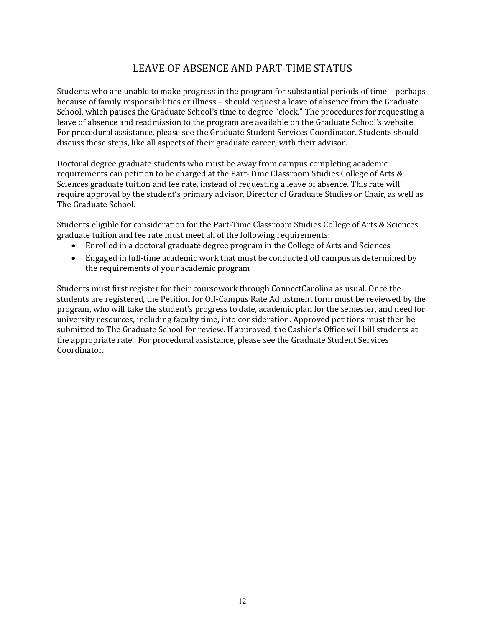# LEAVE OF ABSENCE AND PART-TIME STATUS

<span id="page-14-0"></span>Students who are unable to make progress in the program for substantial periods of time – perhaps because of family responsibilities or illness – should request a leave of absence from the Graduate School, which pauses the Graduate School's time to degree "clock." The procedures for requesting a leave of absence and readmission to the program are available on the Graduate School's website. For procedural assistance, please see the Graduate Student Services Coordinator. Students should discuss these steps, like all aspects of their graduate career, with their advisor.

Doctoral degree graduate students who must be away from campus completing academic requirements can petition to be charged at the Part-Time Classroom Studies College of Arts & Sciences graduate tuition and fee rate, instead of requesting a leave of absence. This rate will require approval by the student's primary advisor, Director of Graduate Studies or Chair, as well as The Graduate School.

Students eligible for consideration for the Part-Time Classroom Studies College of Arts & Sciences graduate tuition and fee rate must meet all of the following requirements:

- Enrolled in a doctoral graduate degree program in the College of Arts and Sciences
- Engaged in full-time academic work that must be conducted off campus as determined by the requirements of your academic program

Students must first register for their coursework through ConnectCarolina as usual. Once the students are registered, the Petition for Off-Campus Rate Adjustment form must be reviewed by the program, who will take the student's progress to date, academic plan for the semester, and need for university resources, including faculty time, into consideration. Approved petitions must then be submitted to The Graduate School for review. If approved, the Cashier's Office will bill students at the appropriate rate. For procedural assistance, please see the Graduate Student Services Coordinator.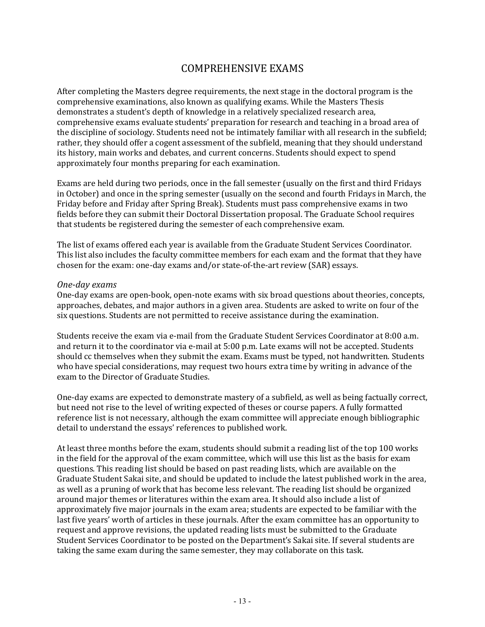## COMPREHENSIVE EXAMS

<span id="page-15-0"></span>After completing the Masters degree requirements, the next stage in the doctoral program is the comprehensive examinations, also known as qualifying exams. While the Masters Thesis demonstrates a student's depth of knowledge in a relatively specialized research area, comprehensive exams evaluate students' preparation for research and teaching in a broad area of the discipline of sociology. Students need not be intimately familiar with all research in the subfield; rather, they should offer a cogent assessment of the subfield, meaning that they should understand its history, main works and debates, and current concerns. Students should expect to spend approximately four months preparing for each examination.

Exams are held during two periods, once in the fall semester (usually on the first and third Fridays in October) and once in the spring semester (usually on the second and fourth Fridays in March, the Friday before and Friday after Spring Break). Students must pass comprehensive exams in two fields before they can submit their Doctoral Dissertation proposal. The Graduate School requires that students be registered during the semester of each comprehensive exam.

The list of exams offered each year is available from the Graduate Student Services Coordinator. This list also includes the faculty committee members for each exam and the format that they have chosen for the exam: one-day exams and/or state-of-the-art review (SAR) essays.

#### <span id="page-15-1"></span>*One-day exams*

One-day exams are open-book, open-note exams with six broad questions about theories, concepts, approaches, debates, and major authors in a given area. Students are asked to write on four of the six questions. Students are not permitted to receive assistance during the examination.

Students receive the exam via e-mail from the Graduate Student Services Coordinator at 8:00 a.m. and return it to the coordinator via e-mail at 5:00 p.m. Late exams will not be accepted. Students should cc themselves when they submit the exam. Exams must be typed, not handwritten. Students who have special considerations, may request two hours extra time by writing in advance of the exam to the Director of Graduate Studies.

One-day exams are expected to demonstrate mastery of a subfield, as well as being factually correct, but need not rise to the level of writing expected of theses or course papers. A fully formatted reference list is not necessary, although the exam committee will appreciate enough bibliographic detail to understand the essays' references to published work.

At least three months before the exam, students should submit a reading list of the top 100 works in the field for the approval of the exam committee, which will use this list as the basis for exam questions. This reading list should be based on past reading lists, which are available on the Graduate Student Sakai site, and should be updated to include the latest published work in the area, as well as a pruning of work that has become less relevant. The reading list should be organized around major themes or literatures within the exam area. It should also include a list of approximately five major journals in the exam area; students are expected to be familiar with the last five years' worth of articles in these journals. After the exam committee has an opportunity to request and approve revisions, the updated reading lists must be submitted to the Graduate Student Services Coordinator to be posted on the Department's Sakai site. If several students are taking the same exam during the same semester, they may collaborate on this task.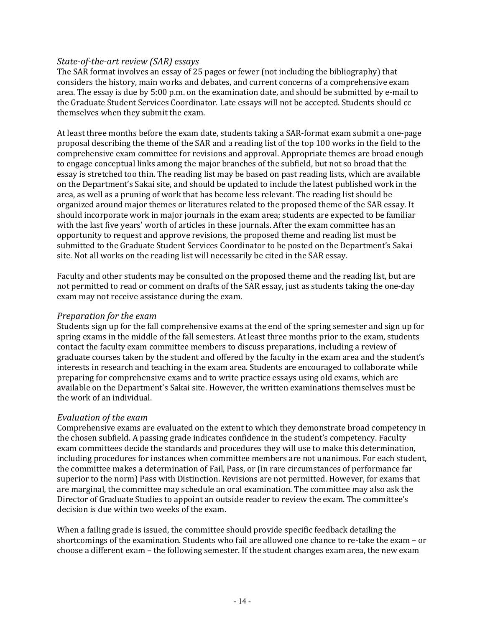### <span id="page-16-0"></span>*State-of-the-art review (SAR) essays*

The SAR format involves an essay of 25 pages or fewer (not including the bibliography) that considers the history, main works and debates, and current concerns of a comprehensive exam area. The essay is due by 5:00 p.m. on the examination date, and should be submitted by e-mail to the Graduate Student Services Coordinator. Late essays will not be accepted. Students should cc themselves when they submit the exam.

At least three months before the exam date, students taking a SAR-format exam submit a one-page proposal describing the theme of the SAR and a reading list of the top 100 works in the field to the comprehensive exam committee for revisions and approval. Appropriate themes are broad enough to engage conceptual links among the major branches of the subfield, but not so broad that the essay is stretched too thin. The reading list may be based on past reading lists, which are available on the Department's Sakai site, and should be updated to include the latest published work in the area, as well as a pruning of work that has become less relevant. The reading list should be organized around major themes or literatures related to the proposed theme of the SAR essay. It should incorporate work in major journals in the exam area; students are expected to be familiar with the last five years' worth of articles in these journals. After the exam committee has an opportunity to request and approve revisions, the proposed theme and reading list must be submitted to the Graduate Student Services Coordinator to be posted on the Department's Sakai site. Not all works on the reading list will necessarily be cited in the SAR essay.

Faculty and other students may be consulted on the proposed theme and the reading list, but are not permitted to read or comment on drafts of the SAR essay, just as students taking the one-day exam may not receive assistance during the exam.

#### <span id="page-16-1"></span>*Preparation for the exam*

Students sign up for the fall comprehensive exams at the end of the spring semester and sign up for spring exams in the middle of the fall semesters. At least three months prior to the exam, students contact the faculty exam committee members to discuss preparations, including a review of graduate courses taken by the student and offered by the faculty in the exam area and the student's interests in research and teaching in the exam area. Students are encouraged to collaborate while preparing for comprehensive exams and to write practice essays using old exams, which are available on the Department's Sakai site. However, the written examinations themselves must be the work of an individual.

#### <span id="page-16-2"></span>*Evaluation of the exam*

Comprehensive exams are evaluated on the extent to which they demonstrate broad competency in the chosen subfield. A passing grade indicates confidence in the student's competency. Faculty exam committees decide the standards and procedures they will use to make this determination, including procedures for instances when committee members are not unanimous. For each student, the committee makes a determination of Fail, Pass, or (in rare circumstances of performance far superior to the norm) Pass with Distinction. Revisions are not permitted. However, for exams that are marginal, the committee may schedule an oral examination. The committee may also ask the Director of Graduate Studies to appoint an outside reader to review the exam. The committee's decision is due within two weeks of the exam.

When a failing grade is issued, the committee should provide specific feedback detailing the shortcomings of the examination. Students who fail are allowed one chance to re-take the exam – or choose a different exam – the following semester. If the student changes exam area, the new exam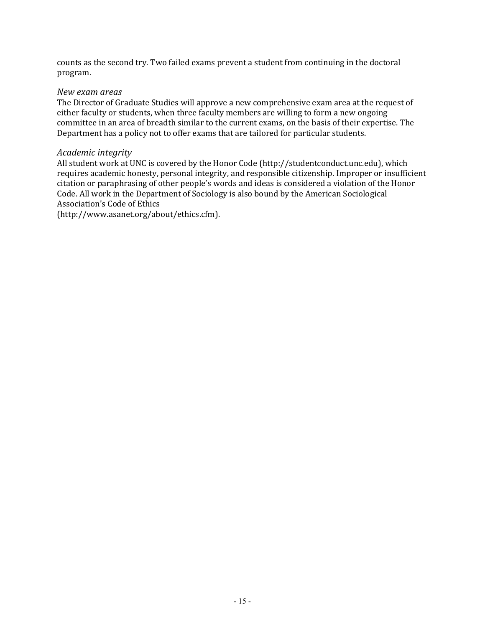counts as the second try. Two failed exams prevent a student from continuing in the doctoral program.

#### <span id="page-17-0"></span>*New exam areas*

The Director of Graduate Studies will approve a new comprehensive exam area at the request of either faculty or students, when three faculty members are willing to form a new ongoing committee in an area of breadth similar to the current exams, on the basis of their expertise. The Department has a policy not to offer exams that are tailored for particular students.

#### <span id="page-17-1"></span>*Academic integrity*

All student work at UNC is covered by the Honor Code (http://studentconduct.unc.edu), which requires academic honesty, personal integrity, and responsible citizenship. Improper or insufficient citation or paraphrasing of other people's words and ideas is considered a violation of the Honor Code. All work in the Department of Sociology is also bound by the American Sociological Association's Code of Ethics

(http://www.asanet.org/about/ethics.cfm).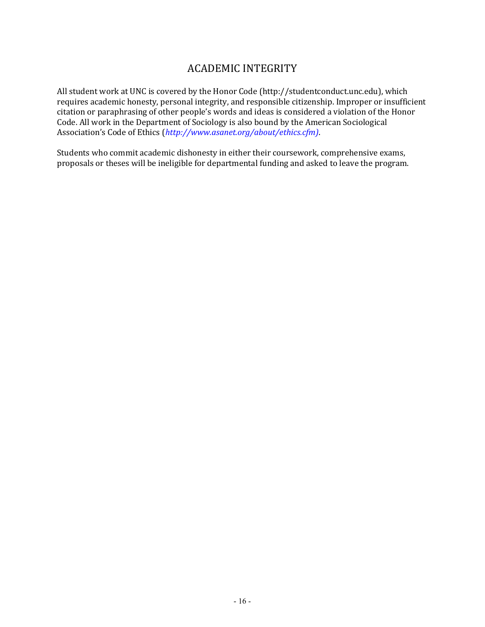# ACADEMIC INTEGRITY

<span id="page-18-0"></span>All student work at UNC is covered by the Honor Code (http://studentconduct.unc.edu), which requires academic honesty, personal integrity, and responsible citizenship. Improper or insufficient citation or paraphrasing of other people's words and ideas is considered a violation of the Honor Code. All work in the Department of Sociology is also bound by the American Sociological Association's Code of Ethics (*[http://www.asanet.org/about/ethics.cfm\)](http://www.asanet.org/about/ethics.cfm))*.

Students who commit academic dishonesty in either their coursework, comprehensive exams, proposals or theses will be ineligible for departmental funding and asked to leave the program.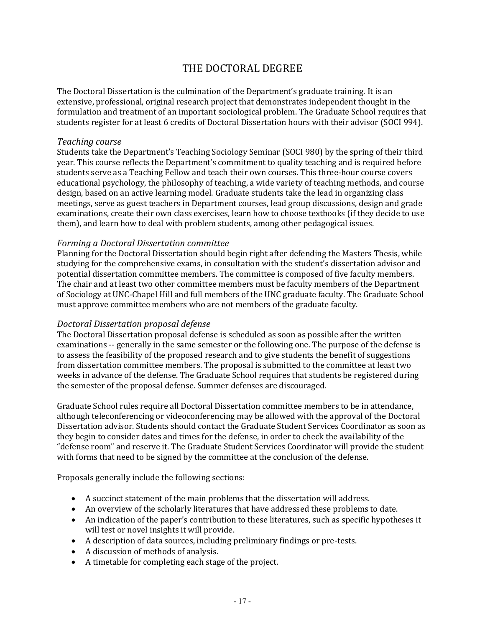# THE DOCTORAL DEGREE

<span id="page-19-0"></span>The Doctoral Dissertation is the culmination of the Department's graduate training. It is an extensive, professional, original research project that demonstrates independent thought in the formulation and treatment of an important sociological problem. The Graduate School requires that students register for at least 6 credits of Doctoral Dissertation hours with their advisor (SOCI 994).

#### <span id="page-19-1"></span>*Teaching course*

Students take the Department's Teaching Sociology Seminar (SOCI 980) by the spring of their third year. This course reflects the Department's commitment to quality teaching and is required before students serve as a Teaching Fellow and teach their own courses. This three-hour course covers educational psychology, the philosophy of teaching, a wide variety of teaching methods, and course design, based on an active learning model. Graduate students take the lead in organizing class meetings, serve as guest teachers in Department courses, lead group discussions, design and grade examinations, create their own class exercises, learn how to choose textbooks (if they decide to use them), and learn how to deal with problem students, among other pedagogical issues.

#### <span id="page-19-2"></span>*Forming a Doctoral Dissertation committee*

Planning for the Doctoral Dissertation should begin right after defending the Masters Thesis, while studying for the comprehensive exams, in consultation with the student's dissertation advisor and potential dissertation committee members. The committee is composed of five faculty members. The chair and at least two other committee members must be faculty members of the Department of Sociology at UNC-Chapel Hill and full members of the UNC graduate faculty. The Graduate School must approve committee members who are not members of the graduate faculty.

#### <span id="page-19-3"></span>*Doctoral Dissertation proposal defense*

The Doctoral Dissertation proposal defense is scheduled as soon as possible after the written examinations -- generally in the same semester or the following one. The purpose of the defense is to assess the feasibility of the proposed research and to give students the benefit of suggestions from dissertation committee members. The proposal is submitted to the committee at least two weeks in advance of the defense. The Graduate School requires that students be registered during the semester of the proposal defense. Summer defenses are discouraged.

Graduate School rules require all Doctoral Dissertation committee members to be in attendance, although teleconferencing or videoconferencing may be allowed with the approval of the Doctoral Dissertation advisor. Students should contact the Graduate Student Services Coordinator as soon as they begin to consider dates and times for the defense, in order to check the availability of the "defense room" and reserve it. The Graduate Student Services Coordinator will provide the student with forms that need to be signed by the committee at the conclusion of the defense.

Proposals generally include the following sections:

- A succinct statement of the main problems that the dissertation will address.
- An overview of the scholarly literatures that have addressed these problems to date.
- An indication of the paper's contribution to these literatures, such as specific hypotheses it will test or novel insights it will provide.
- A description of data sources, including preliminary findings or pre-tests.
- A discussion of methods of analysis.
- A timetable for completing each stage of the project.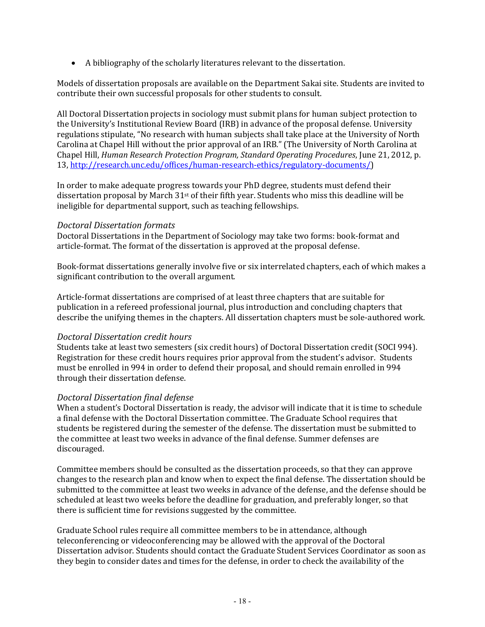• A bibliography of the scholarly literatures relevant to the dissertation.

Models of dissertation proposals are available on the Department Sakai site. Students are invited to contribute their own successful proposals for other students to consult.

All Doctoral Dissertation projects in sociology must submit plans for human subject protection to the University's Institutional Review Board (IRB) in advance of the proposal defense. University regulations stipulate, "No research with human subjects shall take place at the University of North Carolina at Chapel Hill without the prior approval of an IRB." (The University of North Carolina at Chapel Hill, *Human Research Protection Program, Standard Operating Procedures*, June 21, 2012, p. 13, [http://research.unc.edu/offices/human-research-ethics/regulatory-documents/\)](http://research.unc.edu/offices/human-research-ethics/regulatory-documents/)

In order to make adequate progress towards your PhD degree, students must defend their dissertation proposal by March 31st of their fifth year. Students who miss this deadline will be ineligible for departmental support, such as teaching fellowships.

#### <span id="page-20-0"></span>*Doctoral Dissertation formats*

Doctoral Dissertations in the Department of Sociology may take two forms: book-format and article-format. The format of the dissertation is approved at the proposal defense.

Book-format dissertations generally involve five or six interrelated chapters, each of which makes a significant contribution to the overall argument.

Article-format dissertations are comprised of at least three chapters that are suitable for publication in a refereed professional journal, plus introduction and concluding chapters that describe the unifying themes in the chapters. All dissertation chapters must be sole-authored work.

#### <span id="page-20-1"></span>*Doctoral Dissertation credit hours*

Students take at least two semesters (six credit hours) of Doctoral Dissertation credit (SOCI 994). Registration for these credit hours requires prior approval from the student's advisor. Students must be enrolled in 994 in order to defend their proposal, and should remain enrolled in 994 through their dissertation defense.

#### <span id="page-20-2"></span>*Doctoral Dissertation final defense*

When a student's Doctoral Dissertation is ready, the advisor will indicate that it is time to schedule a final defense with the Doctoral Dissertation committee. The Graduate School requires that students be registered during the semester of the defense. The dissertation must be submitted to the committee at least two weeks in advance of the final defense. Summer defenses are discouraged.

Committee members should be consulted as the dissertation proceeds, so that they can approve changes to the research plan and know when to expect the final defense. The dissertation should be submitted to the committee at least two weeks in advance of the defense, and the defense should be scheduled at least two weeks before the deadline for graduation, and preferably longer, so that there is sufficient time for revisions suggested by the committee.

Graduate School rules require all committee members to be in attendance, although teleconferencing or videoconferencing may be allowed with the approval of the Doctoral Dissertation advisor. Students should contact the Graduate Student Services Coordinator as soon as they begin to consider dates and times for the defense, in order to check the availability of the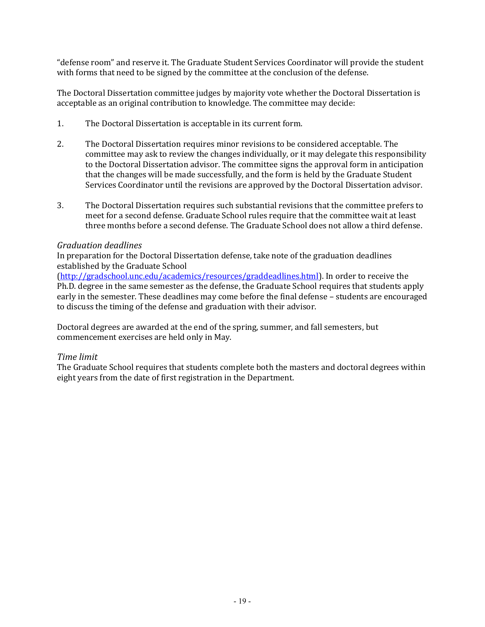"defense room" and reserve it. The Graduate Student Services Coordinator will provide the student with forms that need to be signed by the committee at the conclusion of the defense.

The Doctoral Dissertation committee judges by majority vote whether the Doctoral Dissertation is acceptable as an original contribution to knowledge. The committee may decide:

- 1. The Doctoral Dissertation is acceptable in its current form.
- 2. The Doctoral Dissertation requires minor revisions to be considered acceptable. The committee may ask to review the changes individually, or it may delegate this responsibility to the Doctoral Dissertation advisor. The committee signs the approval form in anticipation that the changes will be made successfully, and the form is held by the Graduate Student Services Coordinator until the revisions are approved by the Doctoral Dissertation advisor.
- 3. The Doctoral Dissertation requires such substantial revisions that the committee prefers to meet for a second defense. Graduate School rules require that the committee wait at least three months before a second defense. The Graduate School does not allow a third defense.

#### <span id="page-21-0"></span>*Graduation deadlines*

In preparation for the Doctoral Dissertation defense, take note of the graduation deadlines established by the Graduate School

[\(http://gradschool.unc.edu/academics/resources/graddeadlines.html\)](http://gradschool.unc.edu/academics/resources/graddeadlines.html). In order to receive the Ph.D. degree in the same semester as the defense, the Graduate School requires that students apply early in the semester. These deadlines may come before the final defense – students are encouraged to discuss the timing of the defense and graduation with their advisor.

Doctoral degrees are awarded at the end of the spring, summer, and fall semesters, but commencement exercises are held only in May.

#### <span id="page-21-1"></span>*Time limit*

The Graduate School requires that students complete both the masters and doctoral degrees within eight years from the date of first registration in the Department.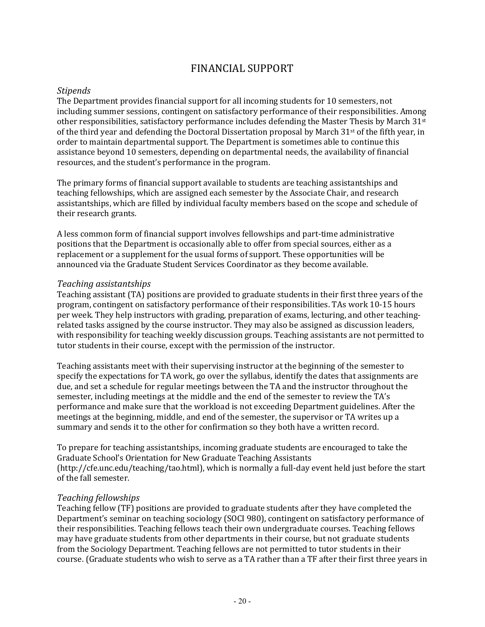## FINANCIAL SUPPORT

#### <span id="page-22-1"></span><span id="page-22-0"></span>*Stipends*

The Department provides financial support for all incoming students for 10 semesters, not including summer sessions, contingent on satisfactory performance of their responsibilities. Among other responsibilities, satisfactory performance includes defending the Master Thesis by March  $31<sup>st</sup>$ of the third year and defending the Doctoral Dissertation proposal by March  $31<sup>st</sup>$  of the fifth year, in order to maintain departmental support. The Department is sometimes able to continue this assistance beyond 10 semesters, depending on departmental needs, the availability of financial resources, and the student's performance in the program.

The primary forms of financial support available to students are teaching assistantships and teaching fellowships, which are assigned each semester by the Associate Chair, and research assistantships, which are filled by individual faculty members based on the scope and schedule of their research grants.

A less common form of financial support involves fellowships and part-time administrative positions that the Department is occasionally able to offer from special sources, either as a replacement or a supplement for the usual forms of support. These opportunities will be announced via the Graduate Student Services Coordinator as they become available.

#### <span id="page-22-2"></span>*Teaching assistantships*

Teaching assistant (TA) positions are provided to graduate students in their first three years of the program, contingent on satisfactory performance of their responsibilities. TAs work 10-15 hours per week. They help instructors with grading, preparation of exams, lecturing, and other teachingrelated tasks assigned by the course instructor. They may also be assigned as discussion leaders, with responsibility for teaching weekly discussion groups. Teaching assistants are not permitted to tutor students in their course, except with the permission of the instructor.

Teaching assistants meet with their supervising instructor at the beginning of the semester to specify the expectations for TA work, go over the syllabus, identify the dates that assignments are due, and set a schedule for regular meetings between the TA and the instructor throughout the semester, including meetings at the middle and the end of the semester to review the TA's performance and make sure that the workload is not exceeding Department guidelines. After the meetings at the beginning, middle, and end of the semester, the supervisor or TA writes up a summary and sends it to the other for confirmation so they both have a written record.

To prepare for teaching assistantships, incoming graduate students are encouraged to take the Graduate School's Orientation for New Graduate Teaching Assistants (http://cfe.unc.edu/teaching/tao.html), which is normally a full-day event held just before the start of the fall semester.

#### <span id="page-22-3"></span>*Teaching fellowships*

Teaching fellow (TF) positions are provided to graduate students after they have completed the Department's seminar on teaching sociology (SOCI 980), contingent on satisfactory performance of their responsibilities. Teaching fellows teach their own undergraduate courses. Teaching fellows may have graduate students from other departments in their course, but not graduate students from the Sociology Department. Teaching fellows are not permitted to tutor students in their course. (Graduate students who wish to serve as a TA rather than a TF after their first three years in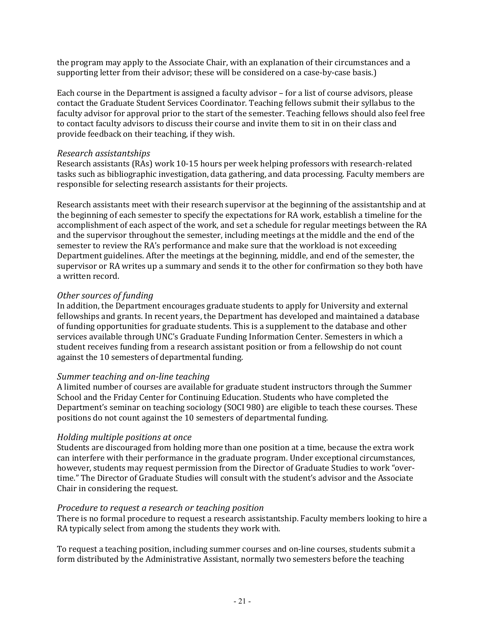the program may apply to the Associate Chair, with an explanation of their circumstances and a supporting letter from their advisor; these will be considered on a case-by-case basis.)

Each course in the Department is assigned a faculty advisor – for a list of course advisors, please contact the Graduate Student Services Coordinator. Teaching fellows submit their syllabus to the faculty advisor for approval prior to the start of the semester. Teaching fellows should also feel free to contact faculty advisors to discuss their course and invite them to sit in on their class and provide feedback on their teaching, if they wish.

#### <span id="page-23-0"></span>*Research assistantships*

Research assistants (RAs) work 10-15 hours per week helping professors with research-related tasks such as bibliographic investigation, data gathering, and data processing. Faculty members are responsible for selecting research assistants for their projects.

Research assistants meet with their research supervisor at the beginning of the assistantship and at the beginning of each semester to specify the expectations for RA work, establish a timeline for the accomplishment of each aspect of the work, and set a schedule for regular meetings between the RA and the supervisor throughout the semester, including meetings at the middle and the end of the semester to review the RA's performance and make sure that the workload is not exceeding Department guidelines. After the meetings at the beginning, middle, and end of the semester, the supervisor or RA writes up a summary and sends it to the other for confirmation so they both have a written record.

#### <span id="page-23-1"></span>*Other sources of funding*

In addition, the Department encourages graduate students to apply for University and external fellowships and grants. In recent years, the Department has developed and maintained a database of funding opportunities for graduate students. This is a supplement to the database and other services available through UNC's Graduate Funding Information Center. Semesters in which a student receives funding from a research assistant position or from a fellowship do not count against the 10 semesters of departmental funding.

#### <span id="page-23-2"></span>*Summer teaching and on-line teaching*

A limited number of courses are available for graduate student instructors through the Summer School and the Friday Center for Continuing Education. Students who have completed the Department's seminar on teaching sociology (SOCI 980) are eligible to teach these courses. These positions do not count against the 10 semesters of departmental funding.

#### <span id="page-23-3"></span>*Holding multiple positions at once*

Students are discouraged from holding more than one position at a time, because the extra work can interfere with their performance in the graduate program. Under exceptional circumstances, however, students may request permission from the Director of Graduate Studies to work "overtime." The Director of Graduate Studies will consult with the student's advisor and the Associate Chair in considering the request.

#### <span id="page-23-4"></span>*Procedure to request a research or teaching position*

There is no formal procedure to request a research assistantship. Faculty members looking to hire a RA typically select from among the students they work with.

To request a teaching position, including summer courses and on-line courses, students submit a form distributed by the Administrative Assistant, normally two semesters before the teaching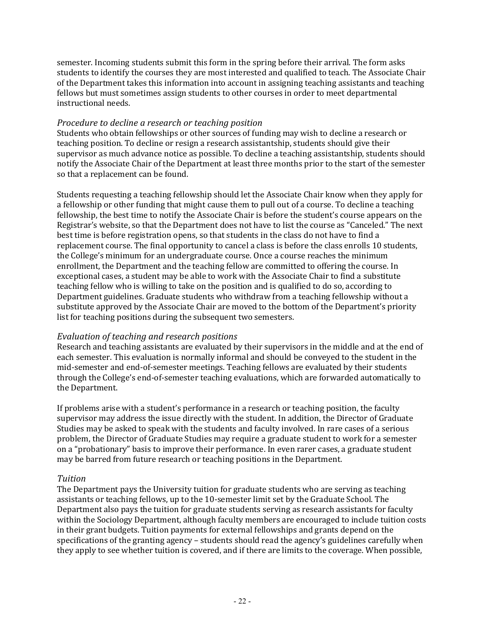semester. Incoming students submit this form in the spring before their arrival. The form asks students to identify the courses they are most interested and qualified to teach. The Associate Chair of the Department takes this information into account in assigning teaching assistants and teaching fellows but must sometimes assign students to other courses in order to meet departmental instructional needs.

#### <span id="page-24-0"></span>*Procedure to decline a research or teaching position*

Students who obtain fellowships or other sources of funding may wish to decline a research or teaching position. To decline or resign a research assistantship, students should give their supervisor as much advance notice as possible. To decline a teaching assistantship, students should notify the Associate Chair of the Department at least three months prior to the start of the semester so that a replacement can be found.

Students requesting a teaching fellowship should let the Associate Chair know when they apply for a fellowship or other funding that might cause them to pull out of a course. To decline a teaching fellowship, the best time to notify the Associate Chair is before the student's course appears on the Registrar's website, so that the Department does not have to list the course as "Canceled." The next best time is before registration opens, so that students in the class do not have to find a replacement course. The final opportunity to cancel a class is before the class enrolls 10 students, the College's minimum for an undergraduate course. Once a course reaches the minimum enrollment, the Department and the teaching fellow are committed to offering the course. In exceptional cases, a student may be able to work with the Associate Chair to find a substitute teaching fellow who is willing to take on the position and is qualified to do so, according to Department guidelines. Graduate students who withdraw from a teaching fellowship without a substitute approved by the Associate Chair are moved to the bottom of the Department's priority list for teaching positions during the subsequent two semesters.

### <span id="page-24-1"></span>*Evaluation of teaching and research positions*

Research and teaching assistants are evaluated by their supervisors in the middle and at the end of each semester. This evaluation is normally informal and should be conveyed to the student in the mid-semester and end-of-semester meetings. Teaching fellows are evaluated by their students through the College's end-of-semester teaching evaluations, which are forwarded automatically to the Department.

If problems arise with a student's performance in a research or teaching position, the faculty supervisor may address the issue directly with the student. In addition, the Director of Graduate Studies may be asked to speak with the students and faculty involved. In rare cases of a serious problem, the Director of Graduate Studies may require a graduate student to work for a semester on a "probationary" basis to improve their performance. In even rarer cases, a graduate student may be barred from future research or teaching positions in the Department.

### <span id="page-24-2"></span>*Tuition*

The Department pays the University tuition for graduate students who are serving as teaching assistants or teaching fellows, up to the 10-semester limit set by the Graduate School. The Department also pays the tuition for graduate students serving as research assistants for faculty within the Sociology Department, although faculty members are encouraged to include tuition costs in their grant budgets. Tuition payments for external fellowships and grants depend on the specifications of the granting agency – students should read the agency's guidelines carefully when they apply to see whether tuition is covered, and if there are limits to the coverage. When possible,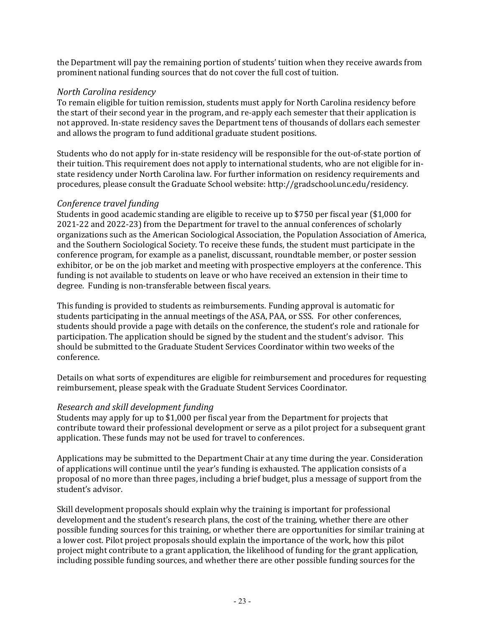the Department will pay the remaining portion of students' tuition when they receive awards from prominent national funding sources that do not cover the full cost of tuition.

#### <span id="page-25-0"></span>*North Carolina residency*

To remain eligible for tuition remission, students must apply for North Carolina residency before the start of their second year in the program, and re-apply each semester that their application is not approved. In-state residency saves the Department tens of thousands of dollars each semester and allows the program to fund additional graduate student positions.

Students who do not apply for in-state residency will be responsible for the out-of-state portion of their tuition. This requirement does not apply to international students, who are not eligible for instate residency under North Carolina law. For further information on residency requirements and procedures, please consult the Graduate School website: [http://gradschool.unc.edu/residency.](http://gradschool.unc.edu/residency/index.html)

### <span id="page-25-1"></span>*Conference travel funding*

Students in good academic standing are eligible to receive up to \$750 per fiscal year (\$1,000 for 2021-22 and 2022-23) from the Department for travel to the annual conferences of scholarly organizations such as the American Sociological Association, the Population Association of America, and the Southern Sociological Society. To receive these funds, the student must participate in the conference program, for example as a panelist, discussant, roundtable member, or poster session exhibitor, or be on the job market and meeting with prospective employers at the conference. This funding is not available to students on leave or who have received an extension in their time to degree. Funding is non-transferable between fiscal years.

This funding is provided to students as reimbursements. Funding approval is automatic for students participating in the annual meetings of the ASA, PAA, or SSS. For other conferences, students should provide a page with details on the conference, the student's role and rationale for participation. The application should be signed by the student and the student's advisor. This should be submitted to the Graduate Student Services Coordinator within two weeks of the conference.

Details on what sorts of expenditures are eligible for reimbursement and procedures for requesting reimbursement, please speak with the Graduate Student Services Coordinator.

### <span id="page-25-2"></span>*Research and skill development funding*

Students may apply for up to \$1,000 per fiscal year from the Department for projects that contribute toward their professional development or serve as a pilot project for a subsequent grant application. These funds may not be used for travel to conferences.

Applications may be submitted to the Department Chair at any time during the year. Consideration of applications will continue until the year's funding is exhausted. The application consists of a proposal of no more than three pages, including a brief budget, plus a message of support from the student's advisor.

Skill development proposals should explain why the training is important for professional development and the student's research plans, the cost of the training, whether there are other possible funding sources for this training, or whether there are opportunities for similar training at a lower cost. Pilot project proposals should explain the importance of the work, how this pilot project might contribute to a grant application, the likelihood of funding for the grant application, including possible funding sources, and whether there are other possible funding sources for the